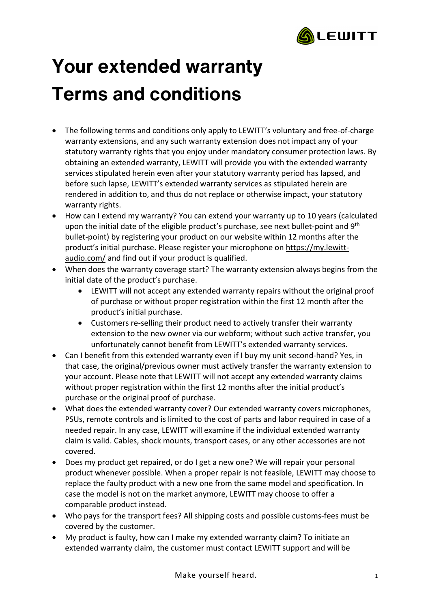

## **Your extended warranty Terms and conditions**

- The following terms and conditions only apply to LEWITT's voluntary and free-of-charge warranty extensions, and any such warranty extension does not impact any of your statutory warranty rights that you enjoy under mandatory consumer protection laws. By obtaining an extended warranty, LEWITT will provide you with the extended warranty services stipulated herein even after your statutory warranty period has lapsed, and before such lapse, LEWITT's extended warranty services as stipulated herein are rendered in addition to, and thus do not replace or otherwise impact, your statutory warranty rights.
- How can I extend my warranty? You can extend your warranty up to 10 years (calculated upon the initial date of the eligible product's purchase, see next bullet-point and 9<sup>th</sup> bullet-point) by registering your product on our website within 12 months after the product's initial purchase. Please register your microphone on [https://my.lewitt](https://my.lewitt-audio.com/)[audio.com/](https://my.lewitt-audio.com/) and find out if your product is qualified.
- When does the warranty coverage start? The warranty extension always begins from the initial date of the product's purchase.
	- LEWITT will not accept any extended warranty repairs without the original proof of purchase or without proper registration within the first 12 month after the product's initial purchase.
	- Customers re-selling their product need to actively transfer their warranty extension to the new owner via our webform; without such active transfer, you unfortunately cannot benefit from LEWITT's extended warranty services.
- Can I benefit from this extended warranty even if I buy my unit second-hand? Yes, in that case, the original/previous owner must actively transfer the warranty extension to your account. Please note that LEWITT will not accept any extended warranty claims without proper registration within the first 12 months after the initial product's purchase or the original proof of purchase.
- What does the extended warranty cover? Our extended warranty covers microphones, PSUs, remote controls and is limited to the cost of parts and labor required in case of a needed repair. In any case, LEWITT will examine if the individual extended warranty claim is valid. Cables, shock mounts, transport cases, or any other accessories are not covered.
- Does my product get repaired, or do I get a new one? We will repair your personal product whenever possible. When a proper repair is not feasible, LEWITT may choose to replace the faulty product with a new one from the same model and specification. In case the model is not on the market anymore, LEWITT may choose to offer a comparable product instead.
- Who pays for the transport fees? All shipping costs and possible customs-fees must be covered by the customer.
- My product is faulty, how can I make my extended warranty claim? To initiate an extended warranty claim, the customer must contact LEWITT support and will be